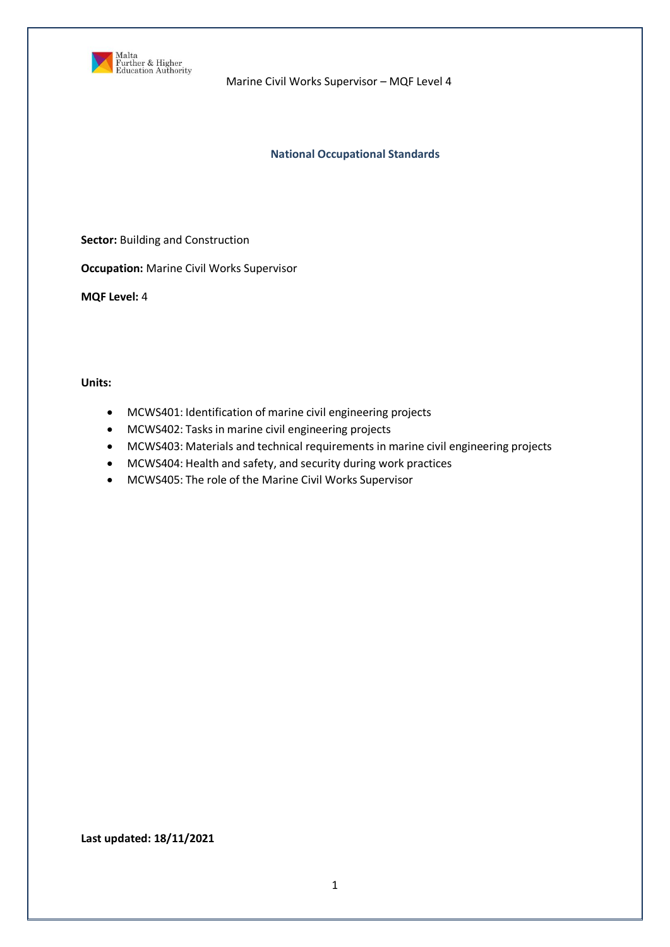

### **National Occupational Standards**

**Sector:** Building and Construction

**Occupation:** Marine Civil Works Supervisor

**MQF Level:** 4

**Units:** 

- MCWS401: Identification of marine civil engineering projects
- MCWS402: Tasks in marine civil engineering projects
- MCWS403: Materials and technical requirements in marine civil engineering projects
- MCWS404: Health and safety, and security during work practices
- MCWS405: The role of the Marine Civil Works Supervisor

**Last updated: 18/11/2021**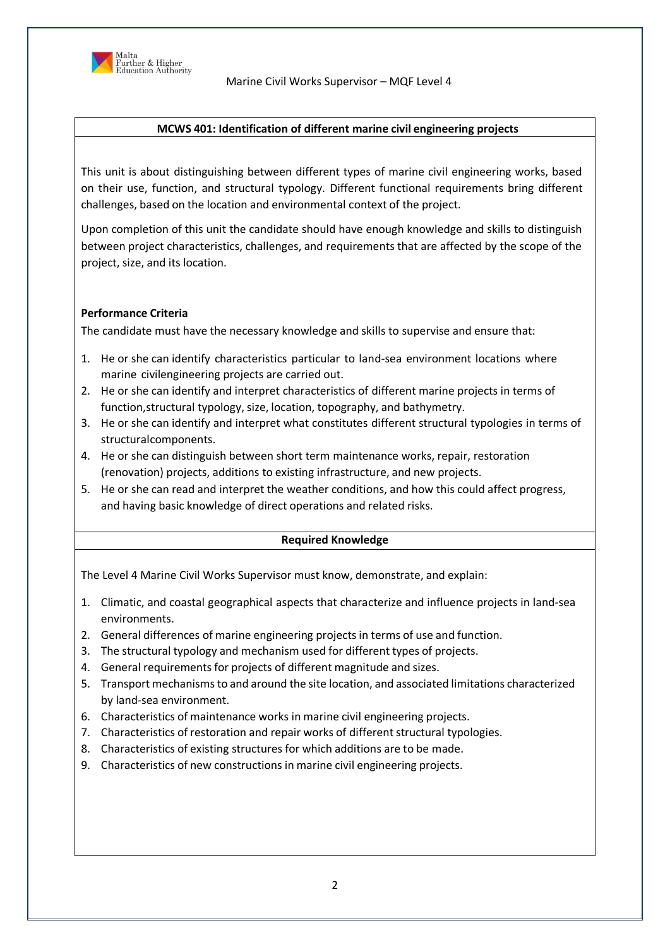

# **MCWS 401: Identification of different marine civil engineering projects**

This unit is about distinguishing between different types of marine civil engineering works, based on their use, function, and structural typology. Different functional requirements bring different challenges, based on the location and environmental context of the project.

Upon completion of this unit the candidate should have enough knowledge and skills to distinguish between project characteristics, challenges, and requirements that are affected by the scope of the project, size, and its location.

# **Performance Criteria**

The candidate must have the necessary knowledge and skills to supervise and ensure that:

- 1. He or she can identify characteristics particular to land-sea environment locations where marine civilengineering projects are carried out.
- 2. He or she can identify and interpret characteristics of different marine projects in terms of function, structural typology, size, location, topography, and bathymetry.
- 3. He or she can identify and interpret what constitutes different structural typologies in terms of structuralcomponents.
- 4. He or she can distinguish between short term maintenance works, repair, restoration (renovation) projects, additions to existing infrastructure, and new projects.
- 5. He or she can read and interpret the weather conditions, and how this could affect progress, and having basic knowledge of direct operations and related risks.

# **Required Knowledge**

- 1. Climatic, and coastal geographical aspects that characterize and influence projects in land-sea environments.
- 2. General differences of marine engineering projects in terms of use and function.
- 3. The structural typology and mechanism used for different types of projects.
- 4. General requirements for projects of different magnitude and sizes.
- 5. Transport mechanismsto and around the site location, and associated limitations characterized by land-sea environment.
- 6. Characteristics of maintenance works in marine civil engineering projects.
- 7. Characteristics of restoration and repair works of different structural typologies.
- 8. Characteristics of existing structures for which additions are to be made.
- 9. Characteristics of new constructions in marine civil engineering projects.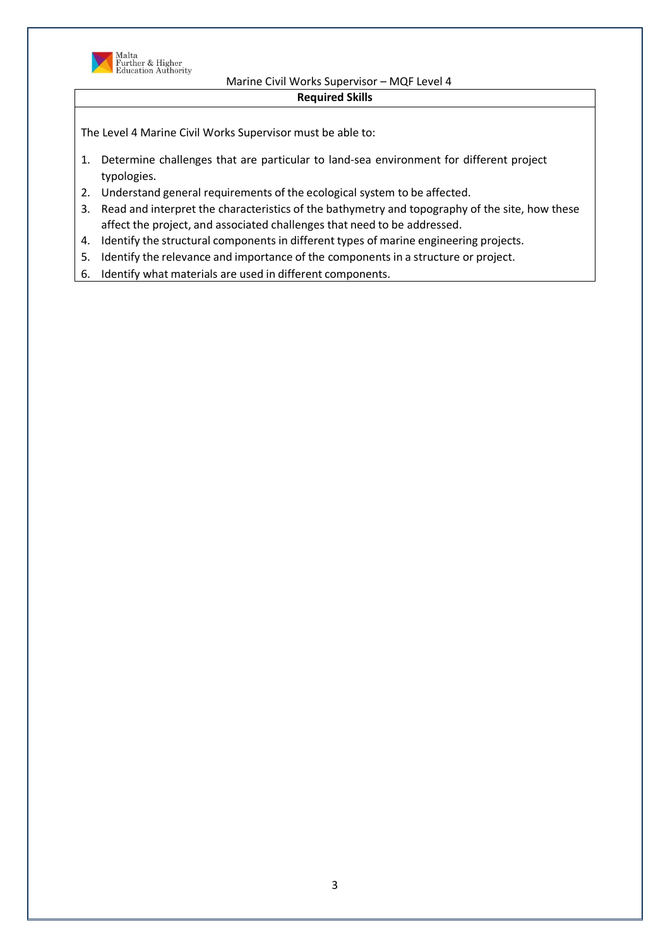

**Required Skills**

- 1. Determine challenges that are particular to land-sea environment for different project typologies.
- 2. Understand general requirements of the ecological system to be affected.
- 3. Read and interpret the characteristics of the bathymetry and topography of the site, how these affect the project, and associated challenges that need to be addressed.
- 4. Identify the structural components in different types of marine engineering projects.
- 5. Identify the relevance and importance of the components in a structure or project.
- 6. Identify what materials are used in different components.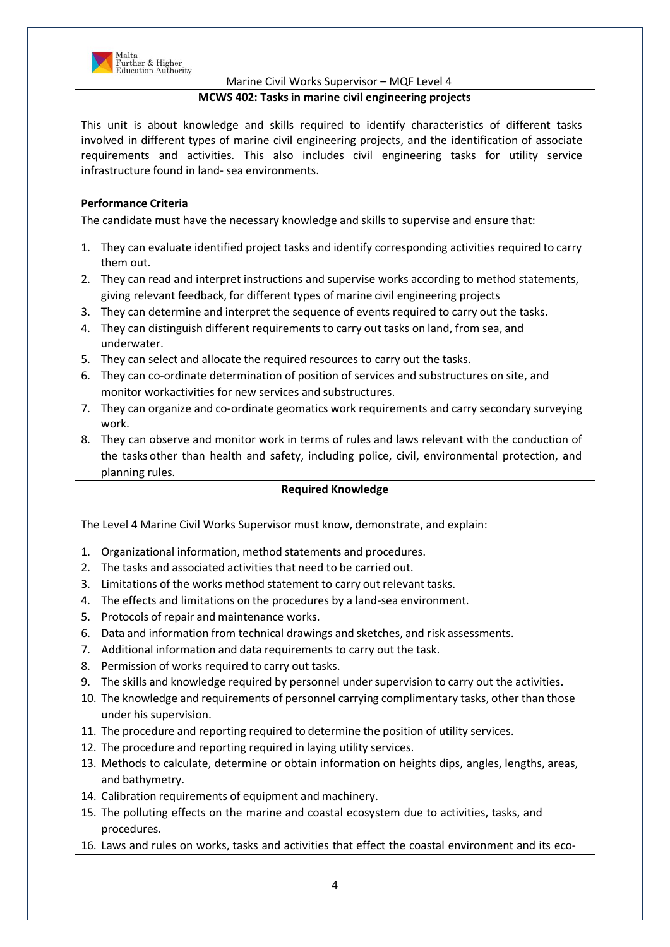

Further & Higher<br>Education Authority

# Marine Civil Works Supervisor – MQF Level 4

# **MCWS 402: Tasks in marine civil engineering projects**

This unit is about knowledge and skills required to identify characteristics of different tasks involved in different types of marine civil engineering projects, and the identification of associate requirements and activities. This also includes civil engineering tasks for utility service infrastructure found in land- sea environments.

# **Performance Criteria**

The candidate must have the necessary knowledge and skills to supervise and ensure that:

- 1. They can evaluate identified project tasks and identify corresponding activities required to carry them out.
- 2. They can read and interpret instructions and supervise works according to method statements, giving relevant feedback, for different types of marine civil engineering projects
- 3. They can determine and interpret the sequence of events required to carry out the tasks.
- 4. They can distinguish different requirements to carry out tasks on land, from sea, and underwater.
- 5. They can select and allocate the required resources to carry out the tasks.
- 6. They can co-ordinate determination of position of services and substructures on site, and monitor workactivities for new services and substructures.
- 7. They can organize and co-ordinate geomatics work requirements and carry secondary surveying work.
- 8. They can observe and monitor work in terms of rules and laws relevant with the conduction of the tasks other than health and safety, including police, civil, environmental protection, and planning rules.

# **Required Knowledge**

- 1. Organizational information, method statements and procedures.
- 2. The tasks and associated activities that need to be carried out.
- 3. Limitations of the works method statement to carry out relevant tasks.
- 4. The effects and limitations on the procedures by a land-sea environment.
- 5. Protocols of repair and maintenance works.
- 6. Data and information from technical drawings and sketches, and risk assessments.
- 7. Additional information and data requirements to carry out the task.
- 8. Permission of works required to carry out tasks.
- 9. The skills and knowledge required by personnel under supervision to carry out the activities.
- 10. The knowledge and requirements of personnel carrying complimentary tasks, other than those under his supervision.
- 11. The procedure and reporting required to determine the position of utility services.
- 12. The procedure and reporting required in laying utility services.
- 13. Methods to calculate, determine or obtain information on heights dips, angles, lengths, areas, and bathymetry.
- 14. Calibration requirements of equipment and machinery.
- 15. The polluting effects on the marine and coastal ecosystem due to activities, tasks, and procedures.
- 16. Laws and rules on works, tasks and activities that effect the coastal environment and its eco-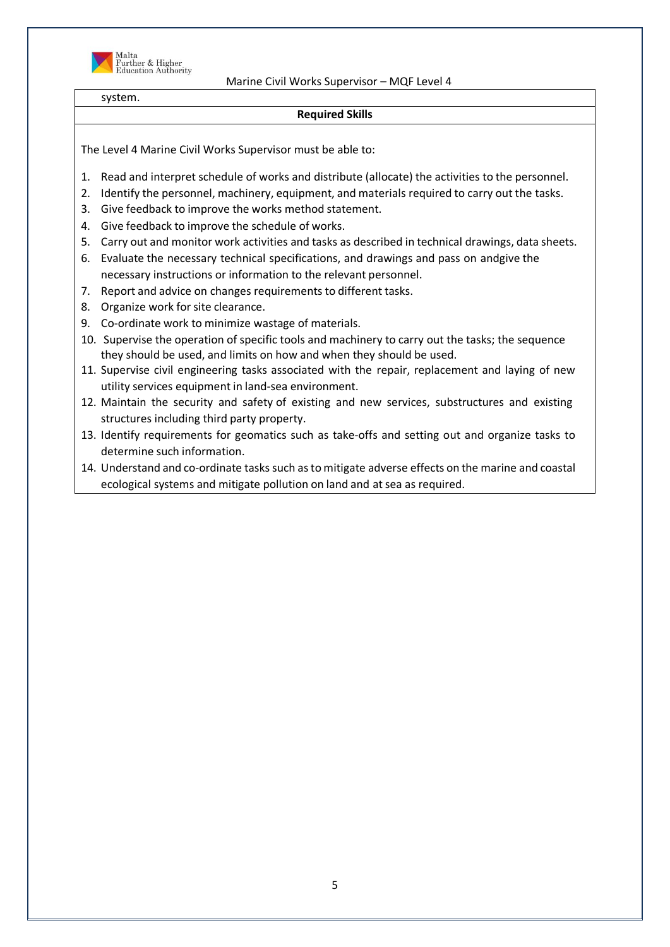

system.

#### **Required Skills**

- 1. Read and interpret schedule of works and distribute (allocate) the activities to the personnel.
- 2. Identify the personnel, machinery, equipment, and materials required to carry out the tasks.
- 3. Give feedback to improve the works method statement.
- 4. Give feedback to improve the schedule of works.
- 5. Carry out and monitor work activities and tasks as described in technical drawings, data sheets.
- 6. Evaluate the necessary technical specifications, and drawings and pass on andgive the necessary instructions or information to the relevant personnel.
- 7. Report and advice on changes requirements to different tasks.
- 8. Organize work for site clearance.
- 9. Co-ordinate work to minimize wastage of materials.
- 10. Supervise the operation of specific tools and machinery to carry out the tasks; the sequence they should be used, and limits on how and when they should be used.
- 11. Supervise civil engineering tasks associated with the repair, replacement and laying of new utility services equipment in land-sea environment.
- 12. Maintain the security and safety of existing and new services, substructures and existing structures including third party property.
- 13. Identify requirements for geomatics such as take-offs and setting out and organize tasks to determine such information.
- 14. Understand and co-ordinate tasks such asto mitigate adverse effects on the marine and coastal ecological systems and mitigate pollution on land and at sea as required.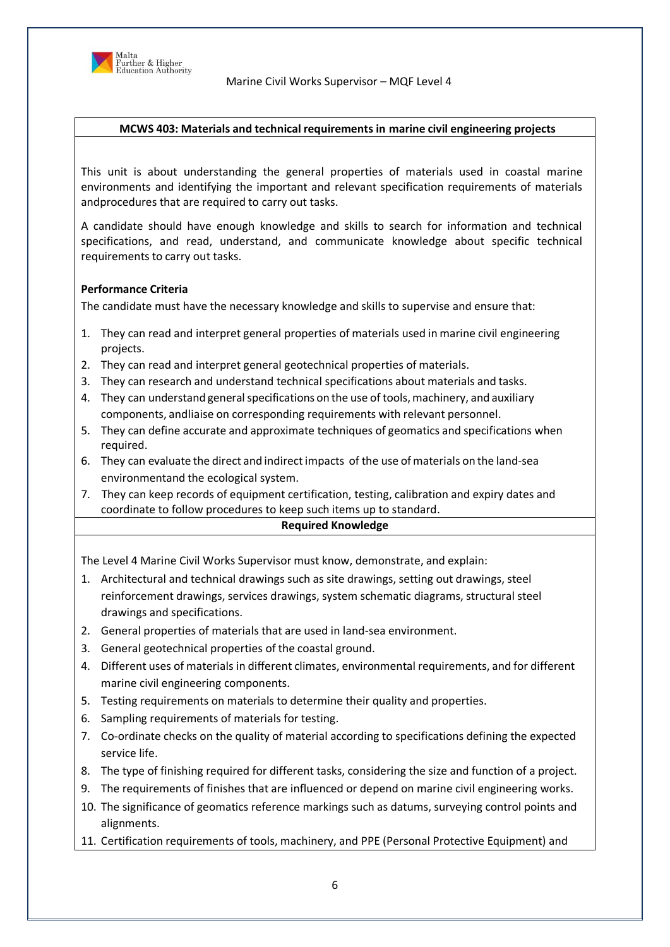

#### **MCWS 403: Materials and technical requirements in marine civil engineering projects**

This unit is about understanding the general properties of materials used in coastal marine environments and identifying the important and relevant specification requirements of materials andprocedures that are required to carry out tasks.

A candidate should have enough knowledge and skills to search for information and technical specifications, and read, understand, and communicate knowledge about specific technical requirements to carry out tasks.

#### **Performance Criteria**

The candidate must have the necessary knowledge and skills to supervise and ensure that:

- 1. They can read and interpret general properties of materials used in marine civil engineering projects.
- 2. They can read and interpret general geotechnical properties of materials.
- 3. They can research and understand technical specifications about materials and tasks.
- 4. They can understand general specifications on the use of tools, machinery, and auxiliary components, andliaise on corresponding requirements with relevant personnel.
- 5. They can define accurate and approximate techniques of geomatics and specifications when required.
- 6. They can evaluate the direct and indirectimpacts of the use ofmaterials on the land-sea environmentand the ecological system.
- 7. They can keep records of equipment certification, testing, calibration and expiry dates and coordinate to follow procedures to keep such items up to standard.

#### **Required Knowledge**

- 1. Architectural and technical drawings such as site drawings, setting out drawings, steel reinforcement drawings, services drawings, system schematic diagrams, structural steel drawings and specifications.
- 2. General properties of materials that are used in land-sea environment.
- 3. General geotechnical properties of the coastal ground.
- 4. Different uses of materials in different climates, environmental requirements, and for different marine civil engineering components.
- 5. Testing requirements on materials to determine their quality and properties.
- 6. Sampling requirements of materials for testing.
- 7. Co-ordinate checks on the quality of material according to specifications defining the expected service life.
- 8. The type of finishing required for different tasks, considering the size and function of a project.
- 9. The requirements of finishes that are influenced or depend on marine civil engineering works.
- 10. The significance of geomatics reference markings such as datums, surveying control points and alignments.
- 11. Certification requirements of tools, machinery, and PPE (Personal Protective Equipment) and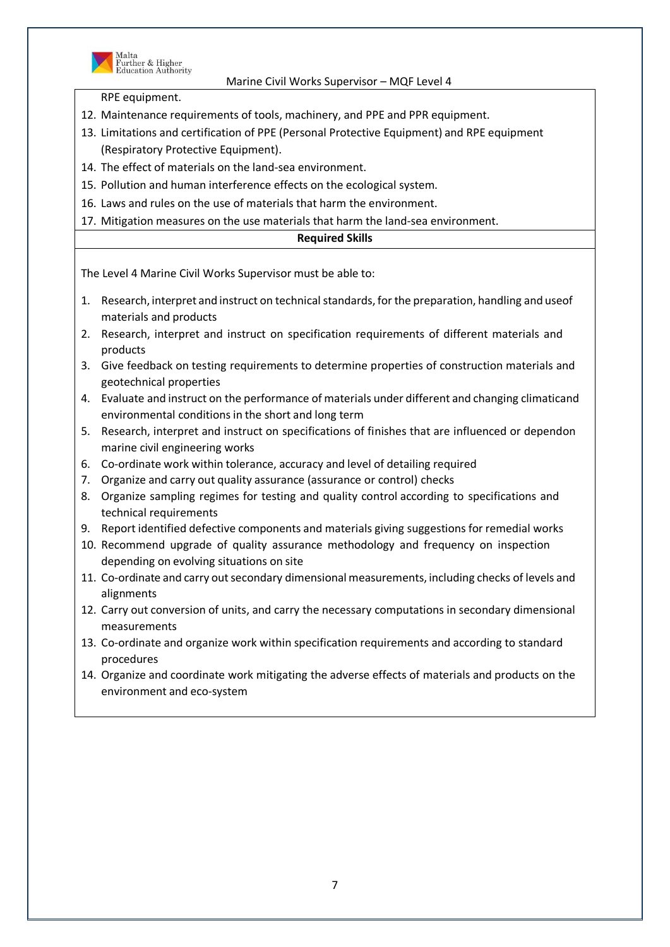

Malta<br>Further & Higher<br>Education Authority

# Marine Civil Works Supervisor – MQF Level 4

RPE equipment.

- 12. Maintenance requirements of tools, machinery, and PPE and PPR equipment.
- 13. Limitations and certification of PPE (Personal Protective Equipment) and RPE equipment (Respiratory Protective Equipment).
- 14. The effect of materials on the land-sea environment.
- 15. Pollution and human interference effects on the ecological system.
- 16. Laws and rules on the use of materials that harm the environment.
- 17. Mitigation measures on the use materials that harm the land-sea environment.

# **Required Skills**

- 1. Research, interpret and instruct on technical standards, for the preparation, handling and useof materials and products
- 2. Research, interpret and instruct on specification requirements of different materials and products
- 3. Give feedback on testing requirements to determine properties of construction materials and geotechnical properties
- 4. Evaluate and instruct on the performance of materials under different and changing climaticand environmental conditions in the short and long term
- 5. Research, interpret and instruct on specifications of finishes that are influenced or dependon marine civil engineering works
- 6. Co-ordinate work within tolerance, accuracy and level of detailing required
- 7. Organize and carry out quality assurance (assurance or control) checks
- 8. Organize sampling regimes for testing and quality control according to specifications and technical requirements
- 9. Report identified defective components and materials giving suggestions for remedial works
- 10. Recommend upgrade of quality assurance methodology and frequency on inspection depending on evolving situations on site
- 11. Co-ordinate and carry out secondary dimensional measurements, including checks of levels and alignments
- 12. Carry out conversion of units, and carry the necessary computations in secondary dimensional measurements
- 13. Co-ordinate and organize work within specification requirements and according to standard procedures
- 14. Organize and coordinate work mitigating the adverse effects of materials and products on the environment and eco-system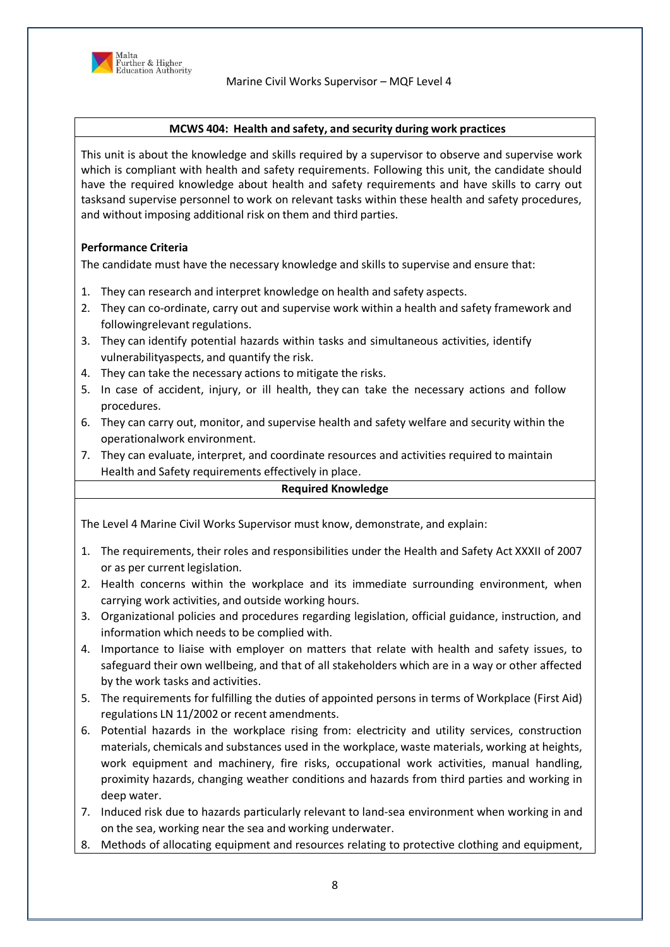

### **MCWS 404: Health and safety, and security during work practices**

This unit is about the knowledge and skills required by a supervisor to observe and supervise work which is compliant with health and safety requirements. Following this unit, the candidate should have the required knowledge about health and safety requirements and have skills to carry out tasksand supervise personnel to work on relevant tasks within these health and safety procedures, and without imposing additional risk on them and third parties.

# **Performance Criteria**

The candidate must have the necessary knowledge and skills to supervise and ensure that:

- 1. They can research and interpret knowledge on health and safety aspects.
- 2. They can co-ordinate, carry out and supervise work within a health and safety framework and followingrelevant regulations.
- 3. They can identify potential hazards within tasks and simultaneous activities, identify vulnerabilityaspects, and quantify the risk.
- 4. They can take the necessary actions to mitigate the risks.
- 5. In case of accident, injury, or ill health, they can take the necessary actions and follow procedures.
- 6. They can carry out, monitor, and supervise health and safety welfare and security within the operationalwork environment.
- 7. They can evaluate, interpret, and coordinate resources and activities required to maintain Health and Safety requirements effectively in place.

#### **Required Knowledge**

- 1. The requirements, their roles and responsibilities under the Health and Safety Act XXXII of 2007 or as per current legislation.
- 2. Health concerns within the workplace and its immediate surrounding environment, when carrying work activities, and outside working hours.
- 3. Organizational policies and procedures regarding legislation, official guidance, instruction, and information which needs to be complied with.
- 4. Importance to liaise with employer on matters that relate with health and safety issues, to safeguard their own wellbeing, and that of all stakeholders which are in a way or other affected by the work tasks and activities.
- 5. The requirements for fulfilling the duties of appointed persons in terms of Workplace (First Aid) regulations LN 11/2002 or recent amendments.
- 6. Potential hazards in the workplace rising from: electricity and utility services, construction materials, chemicals and substances used in the workplace, waste materials, working at heights, work equipment and machinery, fire risks, occupational work activities, manual handling, proximity hazards, changing weather conditions and hazards from third parties and working in deep water.
- 7. Induced risk due to hazards particularly relevant to land-sea environment when working in and on the sea, working near the sea and working underwater.
- 8. Methods of allocating equipment and resources relating to protective clothing and equipment,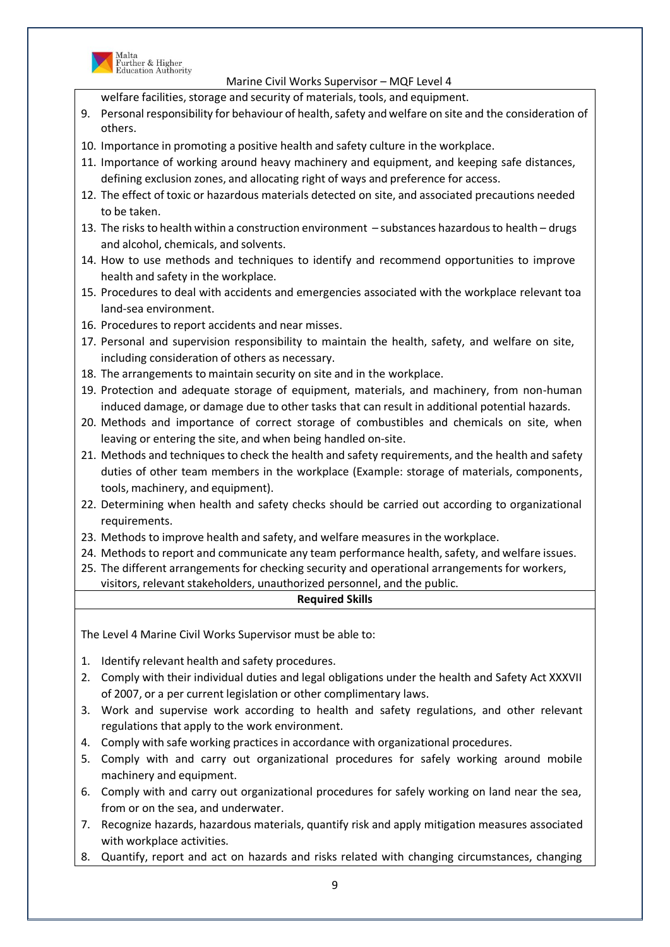

Malta<br>Further & Higher<br>Education Authority

Marine Civil Works Supervisor – MQF Level 4

welfare facilities, storage and security of materials, tools, and equipment.

- 9. Personal responsibility for behaviour of health, safety and welfare on site and the consideration of others.
- 10. Importance in promoting a positive health and safety culture in the workplace.
- 11. Importance of working around heavy machinery and equipment, and keeping safe distances, defining exclusion zones, and allocating right of ways and preference for access.
- 12. The effect of toxic or hazardous materials detected on site, and associated precautions needed to be taken.
- 13. The risks to health within a construction environment substances hazardousto health drugs and alcohol, chemicals, and solvents.
- 14. How to use methods and techniques to identify and recommend opportunities to improve health and safety in the workplace.
- 15. Procedures to deal with accidents and emergencies associated with the workplace relevant toa land-sea environment.
- 16. Procedures to report accidents and near misses.
- 17. Personal and supervision responsibility to maintain the health, safety, and welfare on site, including consideration of others as necessary.
- 18. The arrangements to maintain security on site and in the workplace.
- 19. Protection and adequate storage of equipment, materials, and machinery, from non-human induced damage, or damage due to other tasks that can result in additional potential hazards.
- 20. Methods and importance of correct storage of combustibles and chemicals on site, when leaving or entering the site, and when being handled on-site.
- 21. Methods and techniques to check the health and safety requirements, and the health and safety duties of other team members in the workplace (Example: storage of materials, components, tools, machinery, and equipment).
- 22. Determining when health and safety checks should be carried out according to organizational requirements.
- 23. Methods to improve health and safety, and welfare measures in the workplace.
- 24. Methods to report and communicate any team performance health, safety, and welfare issues.
- 25. The different arrangements for checking security and operational arrangements for workers, visitors, relevant stakeholders, unauthorized personnel, and the public.

# **Required Skills**

- 1. Identify relevant health and safety procedures.
- 2. Comply with their individual duties and legal obligations under the health and Safety Act XXXVII of 2007, or a per current legislation or other complimentary laws.
- 3. Work and supervise work according to health and safety regulations, and other relevant regulations that apply to the work environment.
- 4. Comply with safe working practices in accordance with organizational procedures.
- 5. Comply with and carry out organizational procedures for safely working around mobile machinery and equipment.
- 6. Comply with and carry out organizational procedures for safely working on land near the sea, from or on the sea, and underwater.
- 7. Recognize hazards, hazardous materials, quantify risk and apply mitigation measures associated with workplace activities.
- 8. Quantify, report and act on hazards and risks related with changing circumstances, changing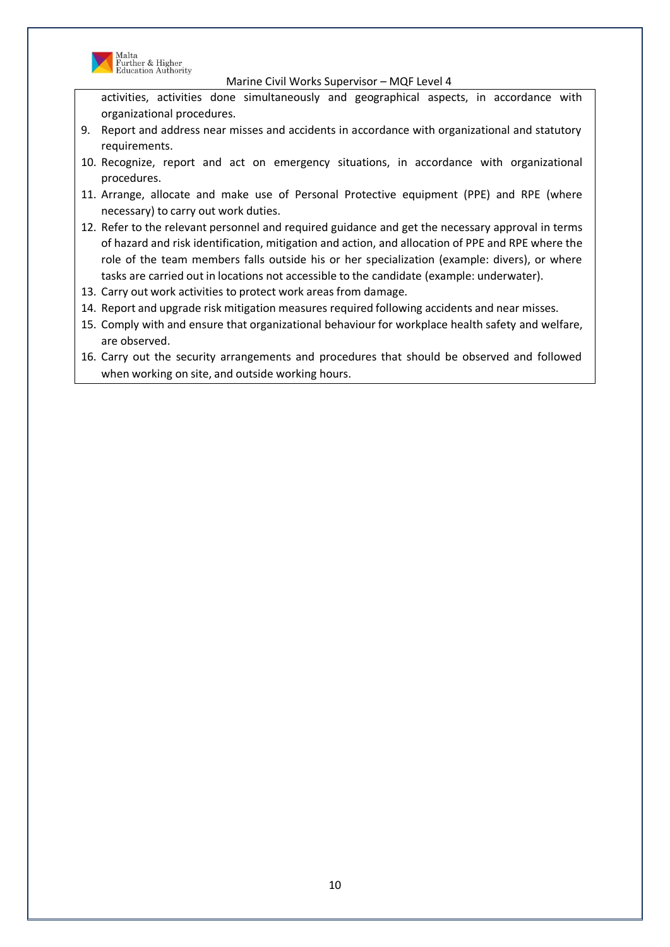

Malta<br>Further & Higher<br>Education Authority

Marine Civil Works Supervisor – MQF Level 4

activities, activities done simultaneously and geographical aspects, in accordance with organizational procedures.

- 9. Report and address near misses and accidents in accordance with organizational and statutory requirements.
- 10. Recognize, report and act on emergency situations, in accordance with organizational procedures.
- 11. Arrange, allocate and make use of Personal Protective equipment (PPE) and RPE (where necessary) to carry out work duties.
- 12. Refer to the relevant personnel and required guidance and get the necessary approval in terms of hazard and risk identification, mitigation and action, and allocation of PPE and RPE where the role of the team members falls outside his or her specialization (example: divers), or where tasks are carried out in locations not accessible to the candidate (example: underwater).
- 13. Carry out work activities to protect work areas from damage.
- 14. Report and upgrade risk mitigation measures required following accidents and near misses.
- 15. Comply with and ensure that organizational behaviour for workplace health safety and welfare, are observed.
- 16. Carry out the security arrangements and procedures that should be observed and followed when working on site, and outside working hours.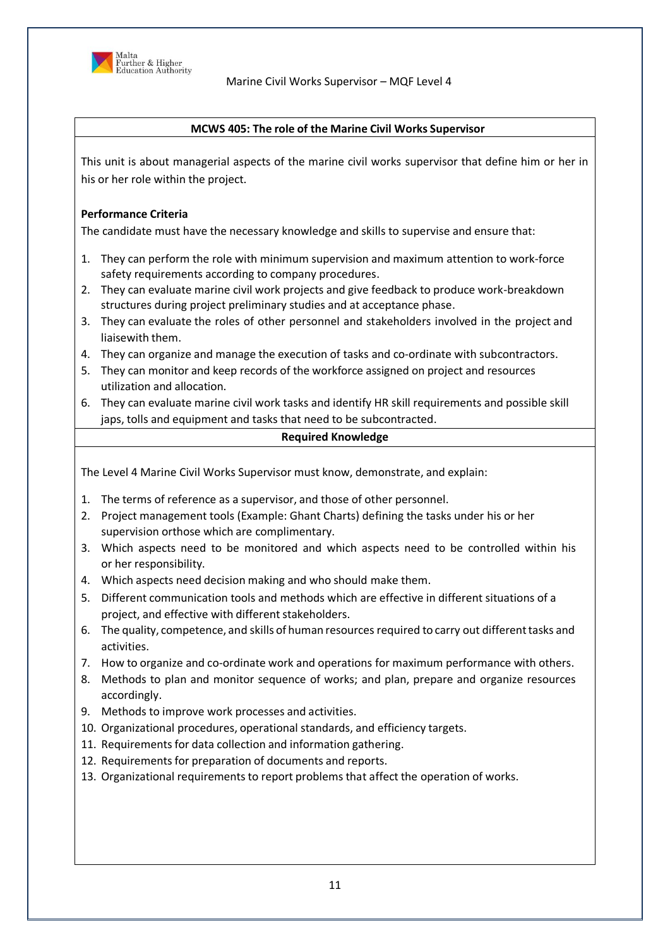

### **MCWS 405: The role of the Marine Civil Works Supervisor**

This unit is about managerial aspects of the marine civil works supervisor that define him or her in his or her role within the project.

# **Performance Criteria**

The candidate must have the necessary knowledge and skills to supervise and ensure that:

- 1. They can perform the role with minimum supervision and maximum attention to work-force safety requirements according to company procedures.
- 2. They can evaluate marine civil work projects and give feedback to produce work-breakdown structures during project preliminary studies and at acceptance phase.
- 3. They can evaluate the roles of other personnel and stakeholders involved in the project and liaisewith them.
- 4. They can organize and manage the execution of tasks and co-ordinate with subcontractors.
- 5. They can monitor and keep records of the workforce assigned on project and resources utilization and allocation.
- 6. They can evaluate marine civil work tasks and identify HR skill requirements and possible skill japs, tolls and equipment and tasks that need to be subcontracted.

# **Required Knowledge**

- 1. The terms of reference as a supervisor, and those of other personnel.
- 2. Project management tools (Example: Ghant Charts) defining the tasks under his or her supervision orthose which are complimentary.
- 3. Which aspects need to be monitored and which aspects need to be controlled within his or her responsibility.
- 4. Which aspects need decision making and who should make them.
- 5. Different communication tools and methods which are effective in different situations of a project, and effective with different stakeholders.
- 6. The quality, competence, and skills of human resources required to carry out differenttasks and activities.
- 7. How to organize and co-ordinate work and operations for maximum performance with others.
- 8. Methods to plan and monitor sequence of works; and plan, prepare and organize resources accordingly.
- 9. Methods to improve work processes and activities.
- 10. Organizational procedures, operational standards, and efficiency targets.
- 11. Requirements for data collection and information gathering.
- 12. Requirements for preparation of documents and reports.
- 13. Organizational requirements to report problems that affect the operation of works.